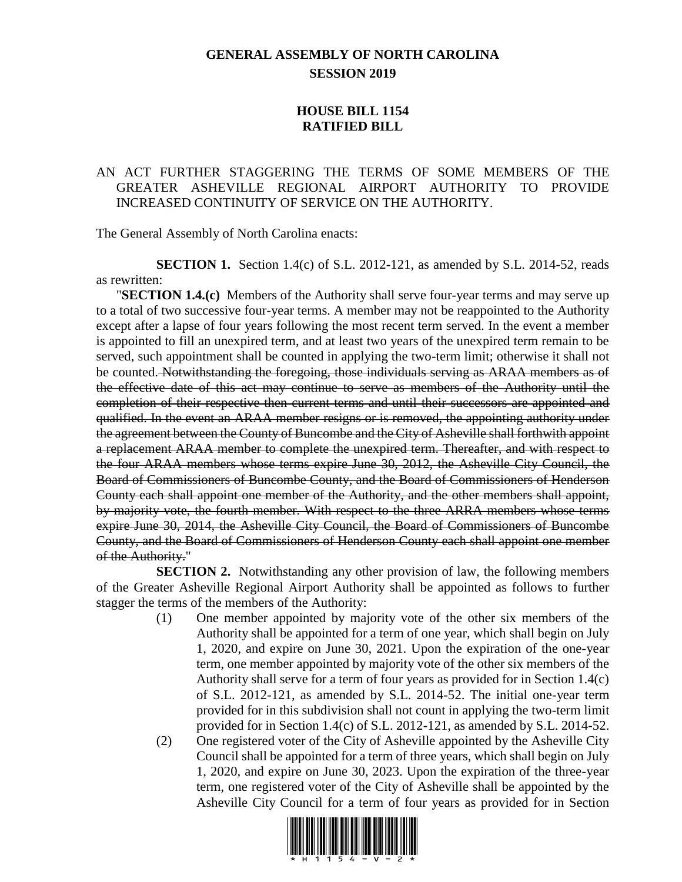## **GENERAL ASSEMBLY OF NORTH CAROLINA SESSION 2019**

## **HOUSE BILL 1154 RATIFIED BILL**

## AN ACT FURTHER STAGGERING THE TERMS OF SOME MEMBERS OF THE GREATER ASHEVILLE REGIONAL AIRPORT AUTHORITY TO PROVIDE INCREASED CONTINUITY OF SERVICE ON THE AUTHORITY.

The General Assembly of North Carolina enacts:

**SECTION 1.** Section 1.4(c) of S.L. 2012-121, as amended by S.L. 2014-52, reads as rewritten:

"**SECTION 1.4.(c)** Members of the Authority shall serve four-year terms and may serve up to a total of two successive four-year terms. A member may not be reappointed to the Authority except after a lapse of four years following the most recent term served. In the event a member is appointed to fill an unexpired term, and at least two years of the unexpired term remain to be served, such appointment shall be counted in applying the two-term limit; otherwise it shall not be counted. Notwithstanding the foregoing, those individuals serving as ARAA members as of the effective date of this act may continue to serve as members of the Authority until the completion of their respective then current terms and until their successors are appointed and qualified. In the event an ARAA member resigns or is removed, the appointing authority under the agreement between the County of Buncombe and the City of Asheville shall forthwith appoint a replacement ARAA member to complete the unexpired term. Thereafter, and with respect to the four ARAA members whose terms expire June 30, 2012, the Asheville City Council, the Board of Commissioners of Buncombe County, and the Board of Commissioners of Henderson County each shall appoint one member of the Authority, and the other members shall appoint, by majority vote, the fourth member. With respect to the three ARRA members whose terms expire June 30, 2014, the Asheville City Council, the Board of Commissioners of Buncombe County, and the Board of Commissioners of Henderson County each shall appoint one member of the Authority."

**SECTION 2.** Notwithstanding any other provision of law, the following members of the Greater Asheville Regional Airport Authority shall be appointed as follows to further stagger the terms of the members of the Authority:

- (1) One member appointed by majority vote of the other six members of the Authority shall be appointed for a term of one year, which shall begin on July 1, 2020, and expire on June 30, 2021. Upon the expiration of the one-year term, one member appointed by majority vote of the other six members of the Authority shall serve for a term of four years as provided for in Section 1.4(c) of S.L. 2012-121, as amended by S.L. 2014-52. The initial one-year term provided for in this subdivision shall not count in applying the two-term limit provided for in Section 1.4(c) of S.L. 2012-121, as amended by S.L. 2014-52.
- (2) One registered voter of the City of Asheville appointed by the Asheville City Council shall be appointed for a term of three years, which shall begin on July 1, 2020, and expire on June 30, 2023. Upon the expiration of the three-year term, one registered voter of the City of Asheville shall be appointed by the Asheville City Council for a term of four years as provided for in Section